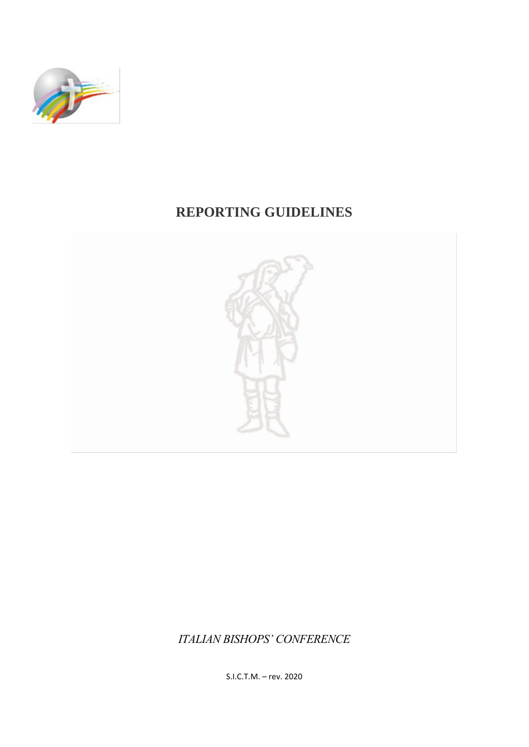

# **REPORTING GUIDELINES**



*ITALIAN BISHOPS' CONFERENCE*

S.I.C.T.M. – rev. 2020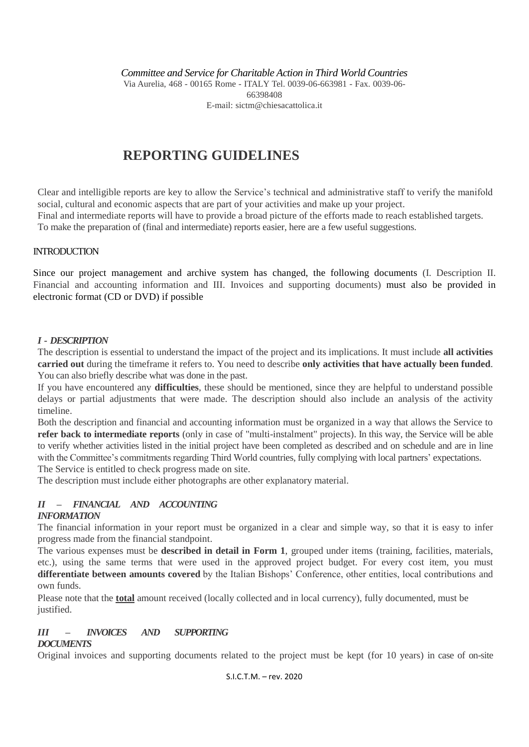*Committee and Service for Charitable Action in Third World Countries*

Via Aurelia, 468 - 00165 Rome - ITALY Tel. 0039-06-663981 - Fax. 0039-06- 66398408 E-mail: [sictm@chiesacattolica.it](mailto:sictm@chiesacattolica.it)

## **REPORTING GUIDELINES**

Clear and intelligible reports are key to allow the Service's technical and administrative staff to verify the manifold social, cultural and economic aspects that are part of your activities and make up your project.

Final and intermediate reports will have to provide a broad picture of the efforts made to reach established targets. To make the preparation of (final and intermediate) reports easier, here are a few useful suggestions.

#### **INTRODUCTION**

Since our project management and archive system has changed, the following documents (I. Description II. Financial and accounting information and III. Invoices and supporting documents) must also be provided in electronic format (CD or DVD) if possible

#### *I - DESCRIPTION*

The description is essential to understand the impact of the project and its implications. It must include **all activities carried out** during the timeframe it refers to. You need to describe **only activities that have actually been funded**. You can also briefly describe what was done in the past.

If you have encountered any **difficulties**, these should be mentioned, since they are helpful to understand possible delays or partial adjustments that were made. The description should also include an analysis of the activity timeline.

Both the description and financial and accounting information must be organized in a way that allows the Service to **refer back to intermediate reports** (only in case of "multi-instalment" projects). In this way, the Service will be able to verify whether activities listed in the initial project have been completed as described and on schedule and are in line with the Committee's commitments regarding Third World countries, fully complying with local partners' expectations. The Service is entitled to check progress made on site.

The description must include either photographs are other explanatory material.

### *II – FINANCIAL AND ACCOUNTING*

#### *INFORMATION*

The financial information in your report must be organized in a clear and simple way, so that it is easy to infer progress made from the financial standpoint.

The various expenses must be **described in detail in Form 1**, grouped under items (training, facilities, materials, etc.), using the same terms that were used in the approved project budget. For every cost item, you must **differentiate between amounts covered** by the Italian Bishops' Conference, other entities, local contributions and own funds.

Please note that the **total** amount received (locally collected and in local currency), fully documented, must be justified.

#### *III – INVOICES AND SUPPORTING*

#### *DOCUMENTS*

Original invoices and supporting documents related to the project must be kept (for 10 years) in case of on-site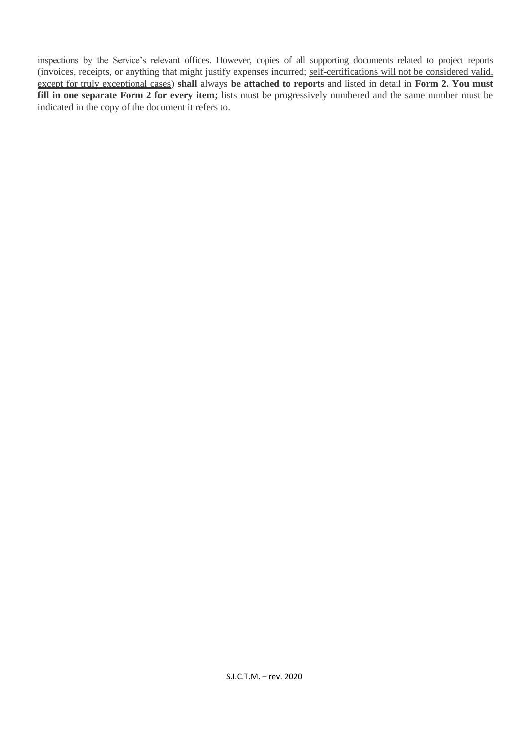inspections by the Service's relevant offices. However, copies of all supporting documents related to project reports (invoices, receipts, or anything that might justify expenses incurred; self-certifications will not be considered valid, except for truly exceptional cases) **shall** always **be attached to reports** and listed in detail in **Form 2. You must fill in one separate Form 2 for every item;** lists must be progressively numbered and the same number must be indicated in the copy of the document it refers to.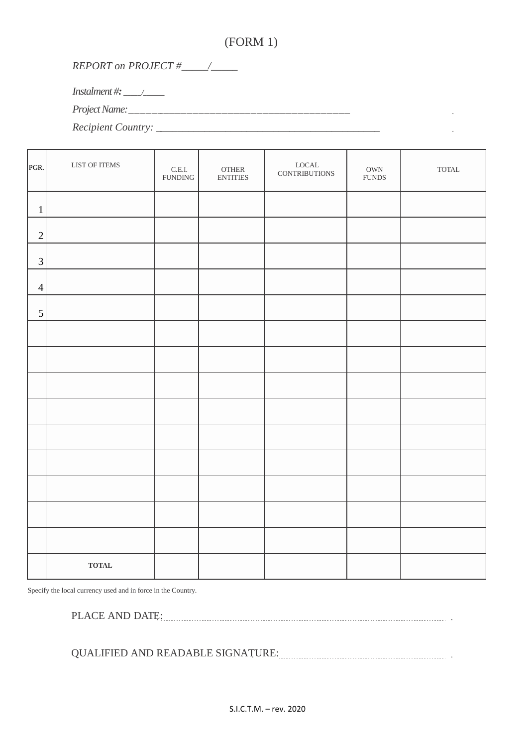## (FORM 1)

 $\mathcal{L}^{\pm}$  $\sim$ 

## *REPORT on PROJECT #\_\_\_\_\_/\_\_\_\_\_*

*Instalment #: \_\_\_\_\_/\_\_\_\_\_\_*

*Project Name:\_\_\_\_\_\_\_\_\_\_\_\_\_\_\_\_\_\_\_\_\_\_\_\_\_\_\_\_\_\_\_\_\_\_\_\_\_\_*

*Recipient Country: \_\_\_\_\_\_\_\_\_\_\_\_\_\_\_\_\_\_\_\_\_\_\_\_\_\_\_\_\_\_\_\_\_\_\_\_\_\_\_\_\_\_*

| PGR.           | LIST OF ITEMS | $\mathsf{C}.\mathsf{E}.\mathsf{I}.$<br><b>FUNDING</b> | $\sqrt{\text{OTHER}}$<br><b>ENTITIES</b> | ${\rm LOCAL}$<br><b>CONTRIBUTIONS</b> | $\mathop{\rm OWN}\nolimits$<br>${\hbox{FUNDS}}$ | $\ensuremath{\text{TOTAL}}$ |
|----------------|---------------|-------------------------------------------------------|------------------------------------------|---------------------------------------|-------------------------------------------------|-----------------------------|
| $\mathbf 1$    |               |                                                       |                                          |                                       |                                                 |                             |
| $\overline{2}$ |               |                                                       |                                          |                                       |                                                 |                             |
| 3              |               |                                                       |                                          |                                       |                                                 |                             |
| $\overline{4}$ |               |                                                       |                                          |                                       |                                                 |                             |
| 5              |               |                                                       |                                          |                                       |                                                 |                             |
|                |               |                                                       |                                          |                                       |                                                 |                             |
|                |               |                                                       |                                          |                                       |                                                 |                             |
|                |               |                                                       |                                          |                                       |                                                 |                             |
|                |               |                                                       |                                          |                                       |                                                 |                             |
|                |               |                                                       |                                          |                                       |                                                 |                             |
|                |               |                                                       |                                          |                                       |                                                 |                             |
|                |               |                                                       |                                          |                                       |                                                 |                             |
|                |               |                                                       |                                          |                                       |                                                 |                             |
|                |               |                                                       |                                          |                                       |                                                 |                             |
|                | <b>TOTAL</b>  |                                                       |                                          |                                       |                                                 |                             |

Specify the local currency used and in force in the Country.

PLACE AND DATE: **ALL ASSESS PLACE AND** DATE:

QUALIFIED AND READABLE SIGNATURE: